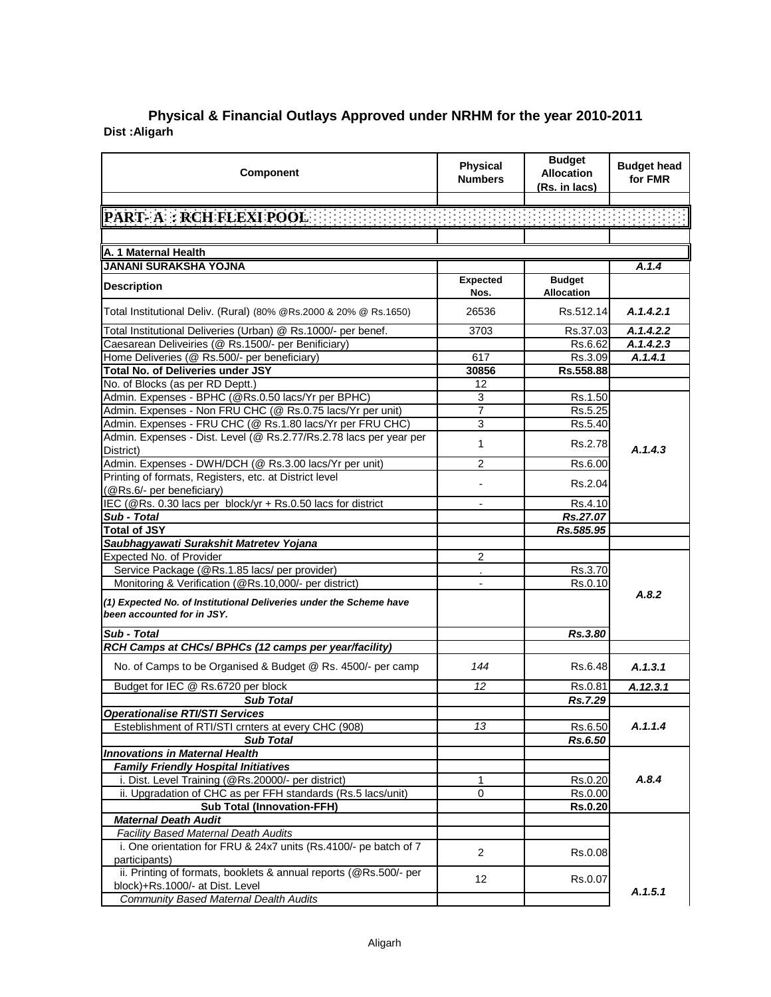## **Dist :Aligarh Physical & Financial Outlays Approved under NRHM for the year 2010-2011**

| <b>Component</b>                                                                                  | <b>Physical</b><br><b>Numbers</b> | <b>Budget</b><br><b>Allocation</b><br>(Rs. in lacs) | <b>Budget head</b><br>for FMR |
|---------------------------------------------------------------------------------------------------|-----------------------------------|-----------------------------------------------------|-------------------------------|
|                                                                                                   |                                   |                                                     |                               |
| PART- A : RCH FLEXI POOL :                                                                        |                                   |                                                     |                               |
|                                                                                                   |                                   |                                                     |                               |
| A. 1 Maternal Health                                                                              |                                   |                                                     |                               |
| <b>JANANI SURAKSHA YOJNA</b>                                                                      |                                   |                                                     | A.1.4                         |
| <b>Description</b>                                                                                | <b>Expected</b><br>Nos.           | <b>Budget</b><br><b>Allocation</b>                  |                               |
| Total Institutional Deliv. (Rural) (80% @Rs.2000 & 20% @ Rs.1650)                                 | 26536                             | Rs.512.14                                           | A.1.4.2.1                     |
| Total Institutional Deliveries (Urban) @ Rs.1000/- per benef.                                     | 3703                              | Rs.37.03                                            | A.1.4.2.2                     |
| Caesarean Deliveiries (@ Rs.1500/- per Benificiary)                                               |                                   | Rs.6.62                                             | A.1.4.2.3                     |
| Home Deliveries (@ Rs.500/- per beneficiary)                                                      | 617                               | Rs.3.09                                             | A.1.4.1                       |
| Total No. of Deliveries under JSY                                                                 | 30856                             | Rs.558.88                                           |                               |
| No. of Blocks (as per RD Deptt.)                                                                  | 12                                |                                                     |                               |
| Admin. Expenses - BPHC (@Rs.0.50 lacs/Yr per BPHC)                                                | 3                                 | Rs.1.50                                             |                               |
| Admin. Expenses - Non FRU CHC (@ Rs.0.75 lacs/Yr per unit)                                        | 7                                 | Rs.5.25                                             |                               |
| Admin. Expenses - FRU CHC (@ Rs.1.80 lacs/Yr per FRU CHC)                                         | 3                                 | Rs.5.40                                             |                               |
| Admin. Expenses - Dist. Level (@ Rs.2.77/Rs.2.78 lacs per year per<br>District)                   | 1                                 | Rs.2.78                                             | A.1.4.3                       |
| Admin. Expenses - DWH/DCH (@ Rs.3.00 lacs/Yr per unit)                                            | 2                                 | Rs.6.00                                             |                               |
| Printing of formats, Registers, etc. at District level<br>(@Rs.6/- per beneficiary)               |                                   | Rs.2.04                                             |                               |
| IEC (@Rs. 0.30 lacs per block/yr + Rs.0.50 lacs for district                                      |                                   | Rs.4.10                                             |                               |
| Sub - Total                                                                                       |                                   | Rs.27.07                                            |                               |
| <b>Total of JSY</b>                                                                               |                                   | Rs.585.95                                           |                               |
| Saubhagyawati Surakshit Matretev Yojana                                                           |                                   |                                                     |                               |
| Expected No. of Provider                                                                          | 2                                 |                                                     |                               |
| Service Package (@Rs.1.85 lacs/ per provider)                                                     |                                   | Rs.3.70                                             |                               |
| Monitoring & Verification (@Rs.10,000/- per district)                                             |                                   | Rs.0.10                                             | A.8.2                         |
| (1) Expected No. of Institutional Deliveries under the Scheme have<br>been accounted for in JSY.  |                                   |                                                     |                               |
| Sub - Total                                                                                       |                                   | Rs.3.80                                             |                               |
| RCH Camps at CHCs/ BPHCs (12 camps per year/facility)                                             |                                   |                                                     |                               |
| No. of Camps to be Organised & Budget @ Rs. 4500/- per camp                                       | 144                               | Rs.6.48                                             | A.1.3.1                       |
| Budget for IEC @ Rs.6720 per block                                                                | 12                                | Rs.0.81                                             | A.12.3.1                      |
| <b>Sub Total</b>                                                                                  |                                   | Rs.7.29                                             |                               |
| <b>Operationalise RTI/STI Services</b>                                                            |                                   |                                                     |                               |
| Esteblishment of RTI/STI crnters at every CHC (908)                                               | 13                                | Rs.6.50                                             | A.1.1.4                       |
| <b>Sub Total</b>                                                                                  |                                   | Rs.6.50                                             |                               |
| <b>Innovations in Maternal Health</b>                                                             |                                   |                                                     |                               |
| <b>Family Friendly Hospital Initiatives</b>                                                       |                                   |                                                     |                               |
| i. Dist. Level Training (@Rs.20000/- per district)                                                | 1                                 | Rs.0.20                                             | A.8.4                         |
| ii. Upgradation of CHC as per FFH standards (Rs.5 lacs/unit)<br><b>Sub Total (Innovation-FFH)</b> | 0                                 | Rs.0.00                                             |                               |
| <b>Maternal Death Audit</b>                                                                       |                                   | <b>Rs.0.20</b>                                      |                               |
| Facility Based Maternal Death Audits                                                              |                                   |                                                     |                               |
| i. One orientation for FRU & 24x7 units (Rs.4100/- pe batch of 7                                  |                                   |                                                     |                               |
| participants)                                                                                     | 2                                 | Rs.0.08                                             |                               |
| ii. Printing of formats, booklets & annual reports (@Rs.500/- per                                 |                                   |                                                     |                               |
| block)+Rs.1000/- at Dist. Level                                                                   | 12                                | Rs.0.07                                             |                               |
| <b>Community Based Maternal Dealth Audits</b>                                                     |                                   |                                                     | A.1.5.1                       |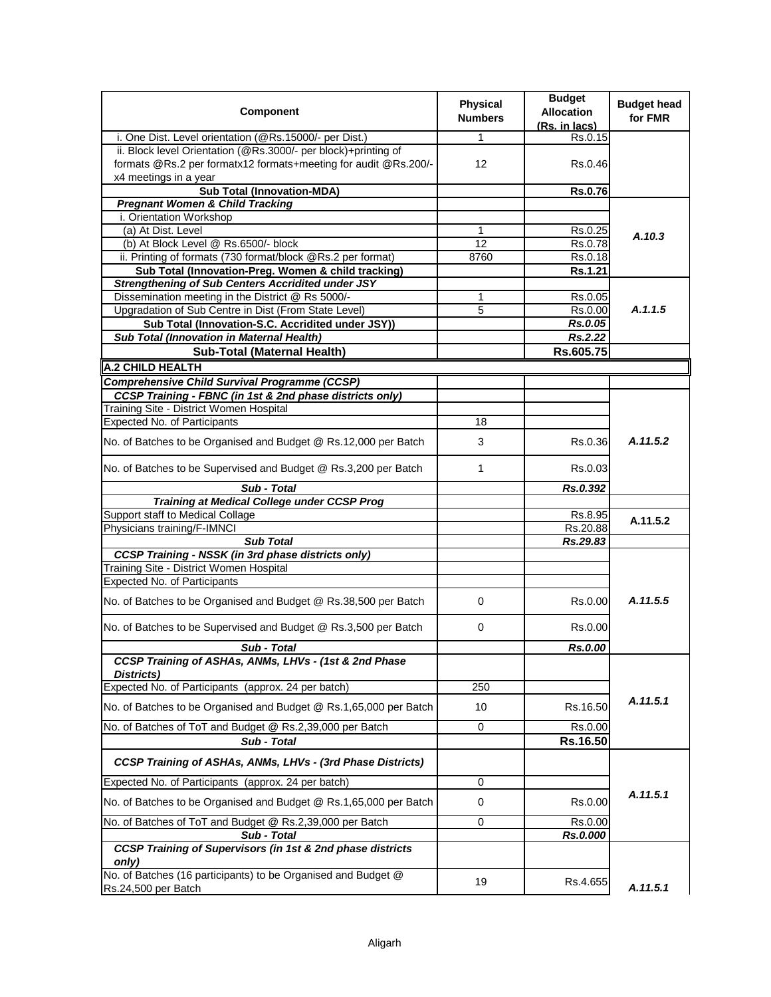| Component                                                                                                     | Physical<br><b>Numbers</b> | <b>Budget</b><br><b>Allocation</b><br>(Rs. in lacs) | <b>Budget head</b><br>for FMR |
|---------------------------------------------------------------------------------------------------------------|----------------------------|-----------------------------------------------------|-------------------------------|
| i. One Dist. Level orientation (@Rs.15000/- per Dist.)                                                        | 1                          | Rs.0.15                                             |                               |
| ii. Block level Orientation (@Rs.3000/- per block)+printing of                                                |                            |                                                     |                               |
| formats @Rs.2 per formatx12 formats+meeting for audit @Rs.200/-                                               | 12                         | Rs.0.46                                             |                               |
| x4 meetings in a year<br><b>Sub Total (Innovation-MDA)</b>                                                    |                            | <b>Rs.0.76</b>                                      |                               |
| <b>Pregnant Women &amp; Child Tracking</b>                                                                    |                            |                                                     |                               |
| i. Orientation Workshop                                                                                       |                            |                                                     |                               |
| (a) At Dist. Level                                                                                            | 1                          | Rs.0.25                                             | A.10.3                        |
| (b) At Block Level @ Rs.6500/- block                                                                          | 12                         | Rs.0.78                                             |                               |
| ii. Printing of formats (730 format/block @Rs.2 per format)                                                   | 8760                       | Rs.0.18                                             |                               |
| Sub Total (Innovation-Preg. Women & child tracking)                                                           |                            | Rs.1.21                                             |                               |
| <b>Strengthening of Sub Centers Accridited under JSY</b><br>Dissemination meeting in the District @ Rs 5000/- | 1                          | Rs.0.05                                             |                               |
| Upgradation of Sub Centre in Dist (From State Level)                                                          | 5                          | Rs.0.00                                             | A.1.1.5                       |
| Sub Total (Innovation-S.C. Accridited under JSY))                                                             |                            | Rs.0.05                                             |                               |
| Sub Total (Innovation in Maternal Health)                                                                     |                            | Rs.2.22                                             |                               |
| Sub-Total (Maternal Health)                                                                                   |                            | Rs.605.75                                           |                               |
| <b>A.2 CHILD HEALTH</b>                                                                                       |                            |                                                     |                               |
| <b>Comprehensive Child Survival Programme (CCSP)</b>                                                          |                            |                                                     |                               |
| CCSP Training - FBNC (in 1st & 2nd phase districts only)                                                      |                            |                                                     |                               |
| Training Site - District Women Hospital                                                                       |                            |                                                     |                               |
| <b>Expected No. of Participants</b>                                                                           | 18                         |                                                     |                               |
| No. of Batches to be Organised and Budget @ Rs.12,000 per Batch                                               | 3                          | Rs.0.36                                             | A.11.5.2                      |
| No. of Batches to be Supervised and Budget @ Rs.3,200 per Batch                                               | 1                          | Rs.0.03                                             |                               |
| Sub - Total                                                                                                   |                            | Rs.0.392                                            |                               |
| <b>Training at Medical College under CCSP Prog</b>                                                            |                            |                                                     |                               |
| Support staff to Medical Collage<br>Physicians training/F-IMNCI                                               |                            | Rs.8.95<br>Rs.20.88                                 | A.11.5.2                      |
| <b>Sub Total</b>                                                                                              |                            | Rs.29.83                                            |                               |
| <b>CCSP Training - NSSK (in 3rd phase districts only)</b>                                                     |                            |                                                     |                               |
| Training Site - District Women Hospital                                                                       |                            |                                                     |                               |
| <b>Expected No. of Participants</b>                                                                           |                            |                                                     |                               |
| No. of Batches to be Organised and Budget @ Rs.38,500 per Batch                                               | 0                          | Rs.0.00                                             | A.11.5.5                      |
| No. of Batches to be Supervised and Budget @ Rs.3,500 per Batch                                               | 0                          | Rs.0.00                                             |                               |
| Sub - Total                                                                                                   |                            | Rs.0.00                                             |                               |
| CCSP Training of ASHAs, ANMs, LHVs - (1st & 2nd Phase                                                         |                            |                                                     |                               |
| Districts)<br>Expected No. of Participants (approx. 24 per batch)                                             | 250                        |                                                     |                               |
| No. of Batches to be Organised and Budget @ Rs.1,65,000 per Batch                                             | 10                         | Rs.16.50                                            | A.11.5.1                      |
| No. of Batches of ToT and Budget @ Rs.2,39,000 per Batch                                                      | 0                          | Rs.0.00                                             |                               |
| Sub - Total                                                                                                   |                            | Rs.16.50                                            |                               |
| <b>CCSP Training of ASHAs, ANMs, LHVs - (3rd Phase Districts)</b>                                             |                            |                                                     |                               |
| Expected No. of Participants (approx. 24 per batch)                                                           | 0                          |                                                     |                               |
| No. of Batches to be Organised and Budget @ Rs.1,65,000 per Batch                                             | 0                          | Rs.0.00                                             | A.11.5.1                      |
| No. of Batches of ToT and Budget @ Rs.2,39,000 per Batch                                                      | 0                          | Rs.0.00                                             |                               |
| Sub - Total                                                                                                   |                            | Rs.0.000                                            |                               |
| CCSP Training of Supervisors (in 1st & 2nd phase districts<br>only)                                           |                            |                                                     |                               |
| No. of Batches (16 participants) to be Organised and Budget @<br>Rs.24,500 per Batch                          | 19                         | Rs.4.655                                            | A.11.5.1                      |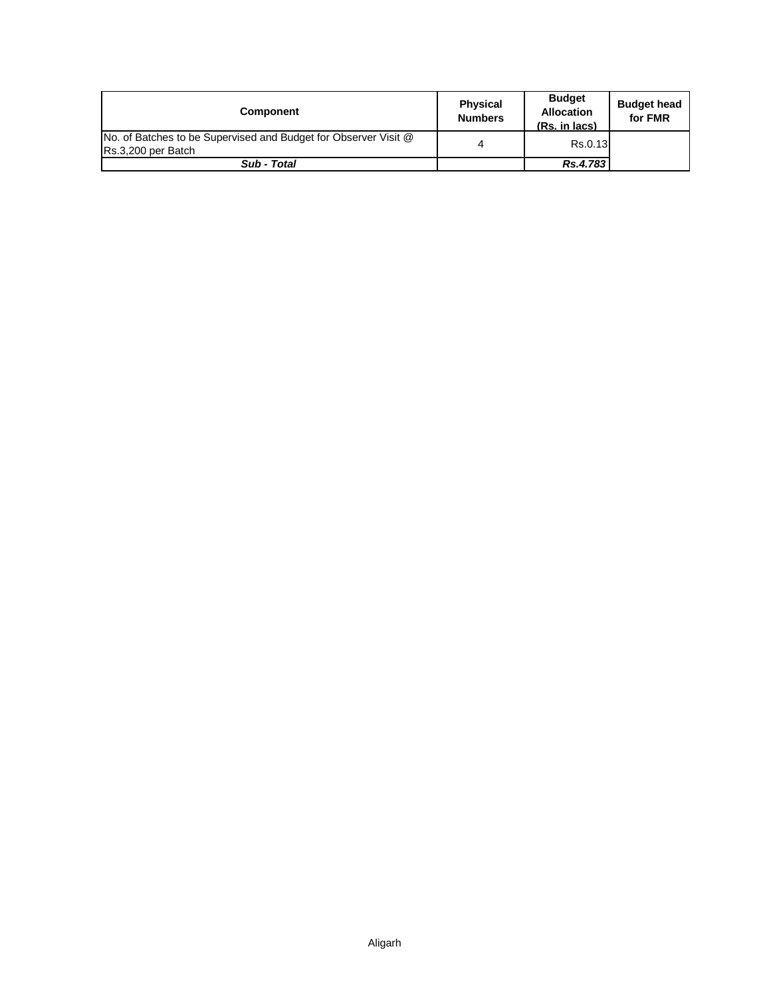| <b>Component</b>                                                                      | <b>Physical</b><br><b>Numbers</b> | <b>Budget</b><br><b>Allocation</b><br>(Rs. in lacs) | <b>Budget head</b><br>for FMR |
|---------------------------------------------------------------------------------------|-----------------------------------|-----------------------------------------------------|-------------------------------|
| No. of Batches to be Supervised and Budget for Observer Visit @<br>Rs.3,200 per Batch | 4                                 | Rs.0.13                                             |                               |
| Sub - Total                                                                           |                                   | Rs.4.783                                            |                               |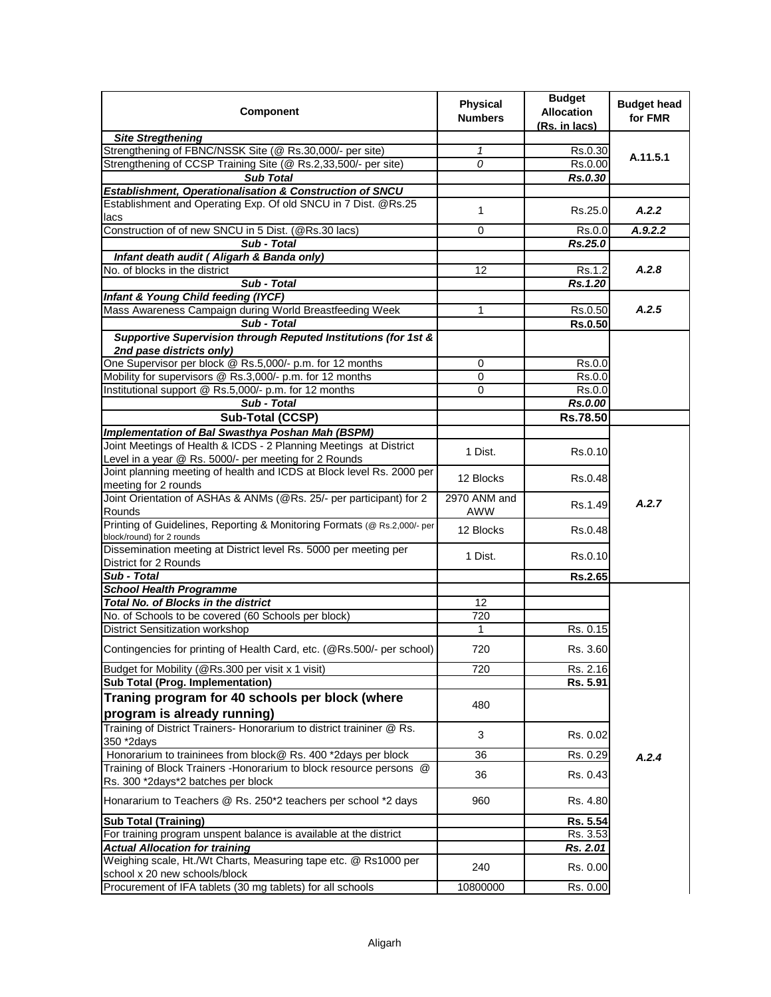| <b>Component</b>                                                                                          | <b>Physical</b> | <b>Budget</b><br><b>Allocation</b> | <b>Budget head</b> |
|-----------------------------------------------------------------------------------------------------------|-----------------|------------------------------------|--------------------|
|                                                                                                           | <b>Numbers</b>  | (Rs. in lacs)                      | for FMR            |
| <b>Site Stregthening</b>                                                                                  |                 |                                    |                    |
| Strengthening of FBNC/NSSK Site (@ Rs.30,000/- per site)                                                  | 1               | Rs.0.30                            | A.11.5.1           |
| Strengthening of CCSP Training Site (@ Rs.2,33,500/- per site)                                            | 0               | Rs.0.00                            |                    |
| <b>Sub Total</b>                                                                                          |                 | Rs.0.30                            |                    |
| Establishment, Operationalisation & Construction of SNCU                                                  |                 |                                    |                    |
| Establishment and Operating Exp. Of old SNCU in 7 Dist. @Rs.25                                            | 1               | Rs.25.0                            | A.2.2              |
| lacs<br>Construction of of new SNCU in 5 Dist. (@Rs.30 lacs)                                              | 0               | Rs.0.0                             | A.9.2.2            |
| Sub - Total                                                                                               |                 | Rs.25.0                            |                    |
| Infant death audit ( Aligarh & Banda only)                                                                |                 |                                    |                    |
| No. of blocks in the district                                                                             | 12              | Rs.1.2                             | A.2.8              |
| Sub - Total                                                                                               |                 | $\overline{Rs}.1.20$               |                    |
| Infant & Young Child feeding (IYCF)                                                                       |                 |                                    |                    |
| Mass Awareness Campaign during World Breastfeeding Week                                                   | 1               | Rs.0.50                            | A.2.5              |
| Sub - Total                                                                                               |                 | <b>Rs.0.50</b>                     |                    |
| Supportive Supervision through Reputed Institutions (for 1st &                                            |                 |                                    |                    |
| 2nd pase districts only)                                                                                  |                 |                                    |                    |
| One Supervisor per block @ Rs.5,000/- p.m. for 12 months                                                  | 0               | Rs.0.0                             |                    |
| Mobility for supervisors @ Rs.3,000/- p.m. for 12 months                                                  | 0               | Rs.0.0                             |                    |
| Institutional support @ Rs.5,000/- p.m. for 12 months                                                     | $\mathbf 0$     | Rs.0.0                             |                    |
| Sub - Total                                                                                               |                 | Rs.0.00                            |                    |
| Sub-Total (CCSP)                                                                                          |                 | <b>Rs.78.50</b>                    |                    |
| Implementation of Bal Swasthya Poshan Mah (BSPM)                                                          |                 |                                    |                    |
| Joint Meetings of Health & ICDS - 2 Planning Meetings at District                                         |                 |                                    |                    |
| Level in a year @ Rs. 5000/- per meeting for 2 Rounds                                                     | 1 Dist.         | Rs.0.10                            |                    |
| Joint planning meeting of health and ICDS at Block level Rs. 2000 per                                     | 12 Blocks       | Rs.0.48                            |                    |
| meeting for 2 rounds<br>Joint Orientation of ASHAs & ANMs (@Rs. 25/- per participant) for 2               | 2970 ANM and    |                                    |                    |
| Rounds                                                                                                    | AWW             | Rs.1.49                            | A.2.7              |
| Printing of Guidelines, Reporting & Monitoring Formats (@ Rs.2,000/- per<br>block/round) for 2 rounds     | 12 Blocks       | Rs.0.48                            |                    |
| Dissemination meeting at District level Rs. 5000 per meeting per                                          | 1 Dist.         | Rs.0.10                            |                    |
| District for 2 Rounds<br>Sub - Total                                                                      |                 | Rs.2.65                            |                    |
| <b>School Health Programme</b>                                                                            |                 |                                    |                    |
| <b>Total No. of Blocks in the district</b>                                                                | 12              |                                    |                    |
| No. of Schools to be covered (60 Schools per block)                                                       | 720             |                                    |                    |
| District Sensitization workshop                                                                           | 1               | Rs. 0.15                           |                    |
| Contingencies for printing of Health Card, etc. (@Rs.500/- per school)                                    | 720             | Rs. 3.60                           |                    |
|                                                                                                           |                 |                                    |                    |
| Budget for Mobility (@Rs.300 per visit x 1 visit)                                                         | 720             | Rs. 2.16                           |                    |
| <b>Sub Total (Prog. Implementation)</b>                                                                   |                 | Rs. 5.91                           |                    |
| Traning program for 40 schools per block (where                                                           | 480             |                                    |                    |
| program is already running)                                                                               |                 |                                    |                    |
| Training of District Trainers- Honorarium to district traininer @ Rs.                                     | 3               | Rs. 0.02                           |                    |
| 350 *2days                                                                                                |                 |                                    |                    |
| Honorarium to traininees from block@ Rs. 400 *2days per block                                             | 36              | Rs. 0.29                           | A.2.4              |
| Training of Block Trainers - Honorarium to block resource persons @<br>Rs. 300 *2days*2 batches per block | 36              | Rs. 0.43                           |                    |
| Honararium to Teachers @ Rs. 250*2 teachers per school *2 days                                            | 960             | Rs. 4.80                           |                    |
| <b>Sub Total (Training)</b>                                                                               |                 | Rs. 5.54                           |                    |
| For training program unspent balance is available at the district                                         |                 | Rs. 3.53                           |                    |
| <b>Actual Allocation for training</b>                                                                     |                 | Rs. 2.01                           |                    |
| Weighing scale, Ht./Wt Charts, Measuring tape etc. @ Rs1000 per                                           | 240             | Rs. 0.00                           |                    |
| school x 20 new schools/block                                                                             |                 |                                    |                    |
| Procurement of IFA tablets (30 mg tablets) for all schools                                                | 10800000        | Rs. 0.00                           |                    |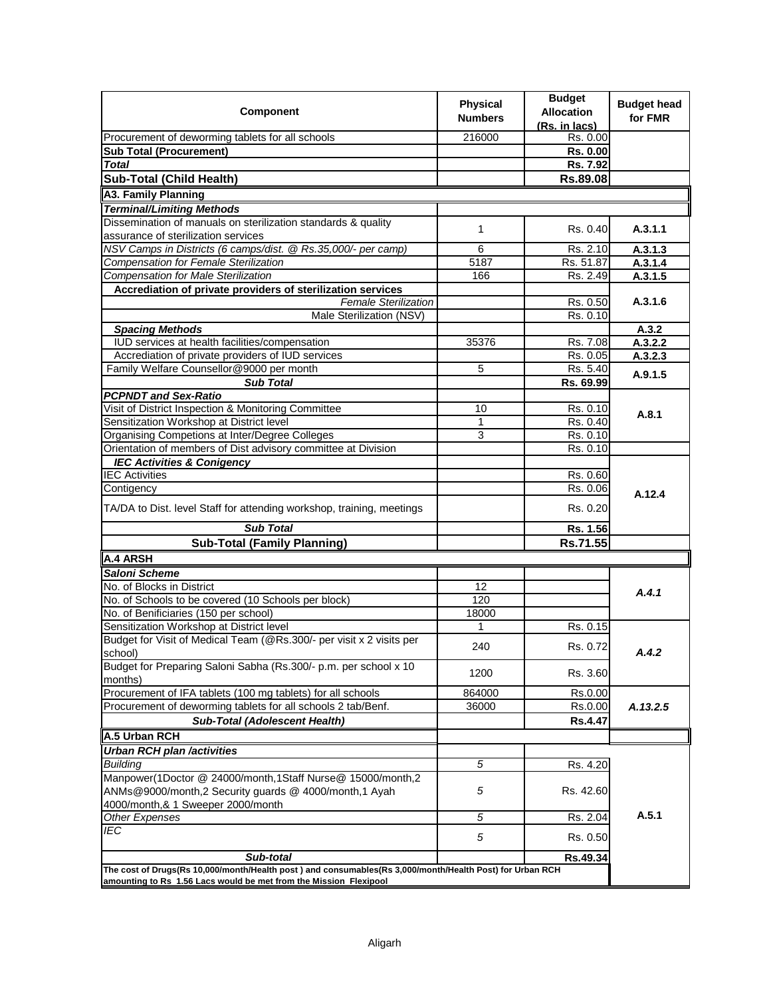| Component                                                                                                | <b>Physical</b><br><b>Numbers</b> | <b>Budget</b><br><b>Allocation</b><br>(Rs. in lacs) | <b>Budget head</b><br>for FMR |
|----------------------------------------------------------------------------------------------------------|-----------------------------------|-----------------------------------------------------|-------------------------------|
| Procurement of deworming tablets for all schools                                                         | 216000                            | Rs. 0.00                                            |                               |
| <b>Sub Total (Procurement)</b>                                                                           |                                   | Rs. 0.00                                            |                               |
| <b>Total</b>                                                                                             |                                   | Rs. 7.92                                            |                               |
| Sub-Total (Child Health)                                                                                 |                                   | Rs.89.08                                            |                               |
| <b>A3. Family Planning</b>                                                                               |                                   |                                                     |                               |
| <b>Terminal/Limiting Methods</b>                                                                         |                                   |                                                     |                               |
| Dissemination of manuals on sterilization standards & quality                                            |                                   |                                                     |                               |
| assurance of sterilization services                                                                      | 1                                 | Rs. 0.40                                            | A.3.1.1                       |
| NSV Camps in Districts (6 camps/dist. @ Rs.35,000/- per camp)                                            | 6                                 | Rs. 2.10                                            | A.3.1.3                       |
| Compensation for Female Sterilization                                                                    | 5187                              | Rs. 51.87                                           | A.3.1.4                       |
| Compensation for Male Sterilization                                                                      | 166                               | Rs. 2.49                                            | A.3.1.5                       |
| Accrediation of private providers of sterilization services                                              |                                   |                                                     |                               |
| <b>Female Sterilization</b>                                                                              |                                   | Rs. 0.50                                            | A.3.1.6                       |
| Male Sterilization (NSV)                                                                                 |                                   | Rs. 0.10                                            |                               |
| <b>Spacing Methods</b>                                                                                   |                                   |                                                     | A.3.2                         |
| IUD services at health facilities/compensation                                                           | 35376                             | Rs. 7.08                                            | A.3.2.2                       |
| Accrediation of private providers of IUD services                                                        |                                   | Rs. 0.05                                            | A.3.2.3                       |
| Family Welfare Counsellor@9000 per month                                                                 | 5                                 | Rs. 5.40                                            | A.9.1.5                       |
| <b>Sub Total</b>                                                                                         |                                   | Rs. 69.99                                           |                               |
| <b>PCPNDT and Sex-Ratio</b>                                                                              |                                   |                                                     |                               |
| Visit of District Inspection & Monitoring Committee                                                      | 10                                | Rs. 0.10                                            | A.8.1                         |
| Sensitization Workshop at District level                                                                 | 1                                 | Rs. 0.40                                            |                               |
| Organising Competions at Inter/Degree Colleges                                                           | 3                                 | Rs. 0.10                                            |                               |
| Orientation of members of Dist advisory committee at Division                                            |                                   | Rs. 0.10                                            |                               |
| <b>IEC Activities &amp; Conigency</b>                                                                    |                                   |                                                     |                               |
| <b>IEC Activities</b>                                                                                    |                                   | Rs. 0.60                                            |                               |
| Contigency                                                                                               |                                   | Rs. 0.06                                            | A.12.4                        |
| TA/DA to Dist. level Staff for attending workshop, training, meetings                                    |                                   | Rs. 0.20                                            |                               |
| <b>Sub Total</b>                                                                                         |                                   | Rs. 1.56                                            |                               |
| <b>Sub-Total (Family Planning)</b>                                                                       |                                   | Rs.71.55                                            |                               |
| A.4 ARSH                                                                                                 |                                   |                                                     |                               |
| Saloni Scheme                                                                                            |                                   |                                                     |                               |
| No. of Blocks in District                                                                                | 12                                |                                                     | A.4.1                         |
| No. of Schools to be covered (10 Schools per block)                                                      | 120                               |                                                     |                               |
| No. of Benificiaries (150 per school)                                                                    | 18000                             |                                                     |                               |
| Sensitization Workshop at District level                                                                 | 1                                 | Rs. 0.15                                            |                               |
| Budget for Visit of Medical Team (@Rs.300/- per visit x 2 visits per                                     | 240                               | Rs. 0.72                                            |                               |
| school)                                                                                                  |                                   |                                                     | A.4.2                         |
| Budget for Preparing Saloni Sabha (Rs.300/- p.m. per school x 10<br>months)                              | 1200                              | Rs. 3.60                                            |                               |
| Procurement of IFA tablets (100 mg tablets) for all schools                                              | 864000                            | Rs.0.00                                             |                               |
| Procurement of deworming tablets for all schools 2 tab/Benf.                                             | 36000                             | Rs.0.00                                             | A.13.2.5                      |
| <b>Sub-Total (Adolescent Health)</b>                                                                     |                                   | <b>Rs.4.47</b>                                      |                               |
| A.5 Urban RCH                                                                                            |                                   |                                                     |                               |
| <b>Urban RCH plan /activities</b>                                                                        |                                   |                                                     |                               |
| <b>Building</b>                                                                                          | $\overline{5}$                    | Rs. 4.20                                            |                               |
| Manpower(1Doctor @ 24000/month,1Staff Nurse@ 15000/month,2                                               |                                   |                                                     |                               |
| ANMs@9000/month,2 Security guards @ 4000/month,1 Ayah                                                    | 5                                 | Rs. 42.60                                           |                               |
| 4000/month, & 1 Sweeper 2000/month                                                                       |                                   |                                                     |                               |
| <b>Other Expenses</b>                                                                                    | 5                                 | Rs. 2.04                                            | A.5.1                         |
| IEC                                                                                                      | 5                                 | Rs. 0.50                                            |                               |
| Sub-total                                                                                                |                                   | Rs.49.34                                            |                               |
| The cost of Drugs(Rs 10,000/month/Health post) and consumables(Rs 3,000/month/Health Post) for Urban RCH |                                   |                                                     |                               |
| amounting to Rs 1.56 Lacs would be met from the Mission Flexipool                                        |                                   |                                                     |                               |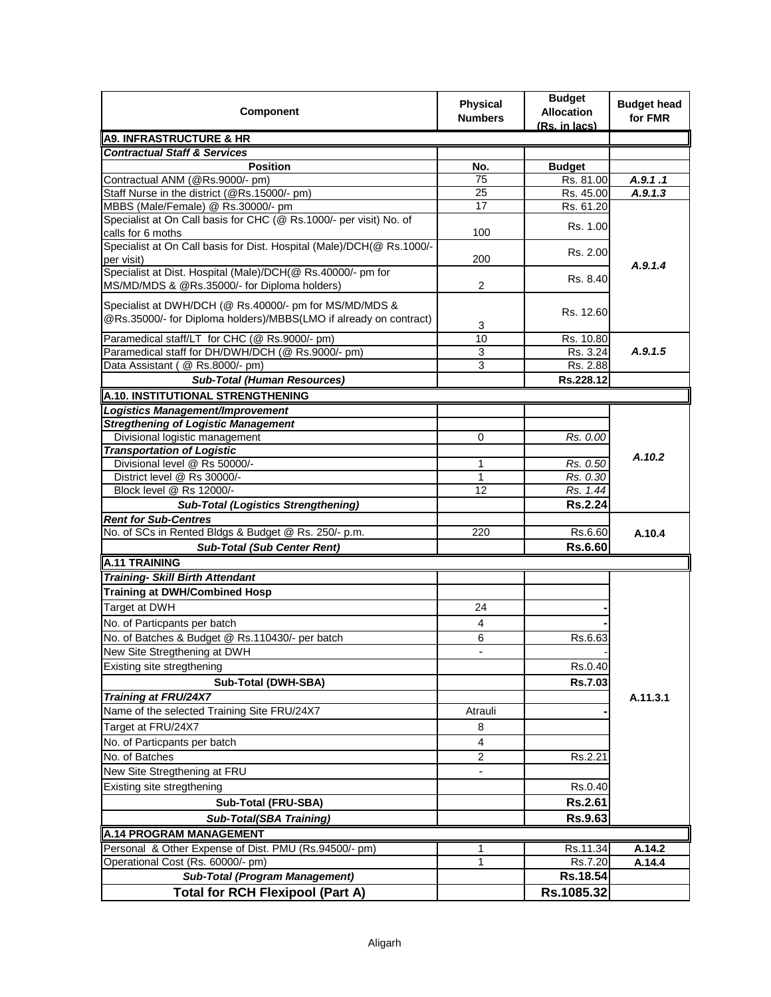| Component                                                                                                                   | Physical<br><b>Numbers</b> | <b>Budget</b><br><b>Allocation</b><br>(Rs. in lacs) | <b>Budget head</b><br>for FMR |
|-----------------------------------------------------------------------------------------------------------------------------|----------------------------|-----------------------------------------------------|-------------------------------|
| <b>A9. INFRASTRUCTURE &amp; HR</b>                                                                                          |                            |                                                     |                               |
| <b>Contractual Staff &amp; Services</b>                                                                                     |                            |                                                     |                               |
| <b>Position</b>                                                                                                             | No.                        | <b>Budget</b>                                       |                               |
| Contractual ANM (@Rs.9000/- pm)                                                                                             | 75                         | Rs. 81.00                                           | A.9.1.1                       |
| Staff Nurse in the district (@Rs.15000/- pm)                                                                                | 25                         | Rs. 45.00                                           | A.9.1.3                       |
| MBBS (Male/Female) @ Rs.30000/- pm                                                                                          | 17                         | Rs. 61.20                                           |                               |
| Specialist at On Call basis for CHC (@ Rs.1000/- per visit) No. of<br>calls for 6 moths                                     | 100                        | Rs. 1.00                                            |                               |
| Specialist at On Call basis for Dist. Hospital (Male)/DCH(@ Rs.1000/-                                                       |                            | Rs. 2.00                                            |                               |
| per visit)                                                                                                                  | 200                        |                                                     | A.9.1.4                       |
| Specialist at Dist. Hospital (Male)/DCH(@ Rs.40000/- pm for<br>MS/MD/MDS & @Rs.35000/- for Diploma holders)                 | $\overline{2}$             | Rs. 8.40                                            |                               |
| Specialist at DWH/DCH (@ Rs.40000/- pm for MS/MD/MDS &<br>@Rs.35000/- for Diploma holders)/MBBS(LMO if already on contract) | 3                          | Rs. 12.60                                           |                               |
| Paramedical staff/LT for CHC (@ Rs.9000/- pm)                                                                               | 10                         | Rs. 10.80                                           |                               |
| Paramedical staff for DH/DWH/DCH (@ Rs.9000/- pm)                                                                           | 3                          | Rs. 3.24                                            | A.9.1.5                       |
| Data Assistant (@ Rs.8000/- pm)                                                                                             | 3                          | Rs. 2.88                                            |                               |
| <b>Sub-Total (Human Resources)</b>                                                                                          |                            | Rs.228.12                                           |                               |
| A.10. INSTITUTIONAL STRENGTHENING                                                                                           |                            |                                                     |                               |
| <b>Logistics Management/Improvement</b>                                                                                     |                            |                                                     |                               |
| <b>Stregthening of Logistic Management</b>                                                                                  |                            |                                                     |                               |
| Divisional logistic management                                                                                              | 0                          | Rs. 0.00                                            |                               |
| <b>Transportation of Logistic</b>                                                                                           |                            |                                                     |                               |
| Divisional level @ Rs 50000/-                                                                                               | 1                          | Rs. 0.50                                            | A.10.2                        |
| District level @ Rs 30000/-                                                                                                 | 1                          | Rs. 0.30                                            |                               |
| Block level @ Rs 12000/-                                                                                                    | 12                         | Rs. 1.44                                            |                               |
| <b>Sub-Total (Logistics Strengthening)</b>                                                                                  |                            | <b>Rs.2.24</b>                                      |                               |
| <b>Rent for Sub-Centres</b>                                                                                                 |                            |                                                     |                               |
| No. of SCs in Rented Bldgs & Budget @ Rs. 250/- p.m.                                                                        | 220                        | Rs.6.60                                             | A.10.4                        |
| <b>Sub-Total (Sub Center Rent)</b>                                                                                          |                            | Rs.6.60                                             |                               |
| A.11 TRAINING                                                                                                               |                            |                                                     |                               |
| <b>Training- Skill Birth Attendant</b>                                                                                      |                            |                                                     |                               |
| <b>Training at DWH/Combined Hosp</b>                                                                                        |                            |                                                     |                               |
| Target at DWH                                                                                                               | 24                         |                                                     |                               |
| No. of Particpants per batch                                                                                                | 4                          |                                                     |                               |
| No. of Batches & Budget @ Rs.110430/- per batch                                                                             | 6                          | Rs.6.63                                             |                               |
| New Site Stregthening at DWH                                                                                                |                            |                                                     |                               |
| Existing site stregthening                                                                                                  |                            | Rs.0.40                                             |                               |
| Sub-Total (DWH-SBA)                                                                                                         |                            | Rs.7.03                                             |                               |
| <b>Training at FRU/24X7</b>                                                                                                 |                            |                                                     | A.11.3.1                      |
| Name of the selected Training Site FRU/24X7                                                                                 | Atrauli                    |                                                     |                               |
| Target at FRU/24X7                                                                                                          | 8                          |                                                     |                               |
| No. of Particpants per batch                                                                                                | $\overline{\mathbf{4}}$    |                                                     |                               |
| No. of Batches                                                                                                              | 2                          | Rs.2.21                                             |                               |
| New Site Stregthening at FRU                                                                                                | -                          |                                                     |                               |
| Existing site stregthening                                                                                                  |                            | Rs.0.40                                             |                               |
| Sub-Total (FRU-SBA)                                                                                                         |                            | Rs.2.61                                             |                               |
| Sub-Total(SBA Training)                                                                                                     |                            | Rs.9.63                                             |                               |
| A.14 PROGRAM MANAGEMENT                                                                                                     |                            |                                                     |                               |
| Personal & Other Expense of Dist. PMU (Rs.94500/- pm)                                                                       | 1                          | Rs.11.34                                            | A.14.2                        |
| Operational Cost (Rs. 60000/- pm)                                                                                           | 1                          | Rs.7.20                                             | A.14.4                        |
| <b>Sub-Total (Program Management)</b>                                                                                       |                            | Rs.18.54                                            |                               |
| <b>Total for RCH Flexipool (Part A)</b>                                                                                     |                            | Rs.1085.32                                          |                               |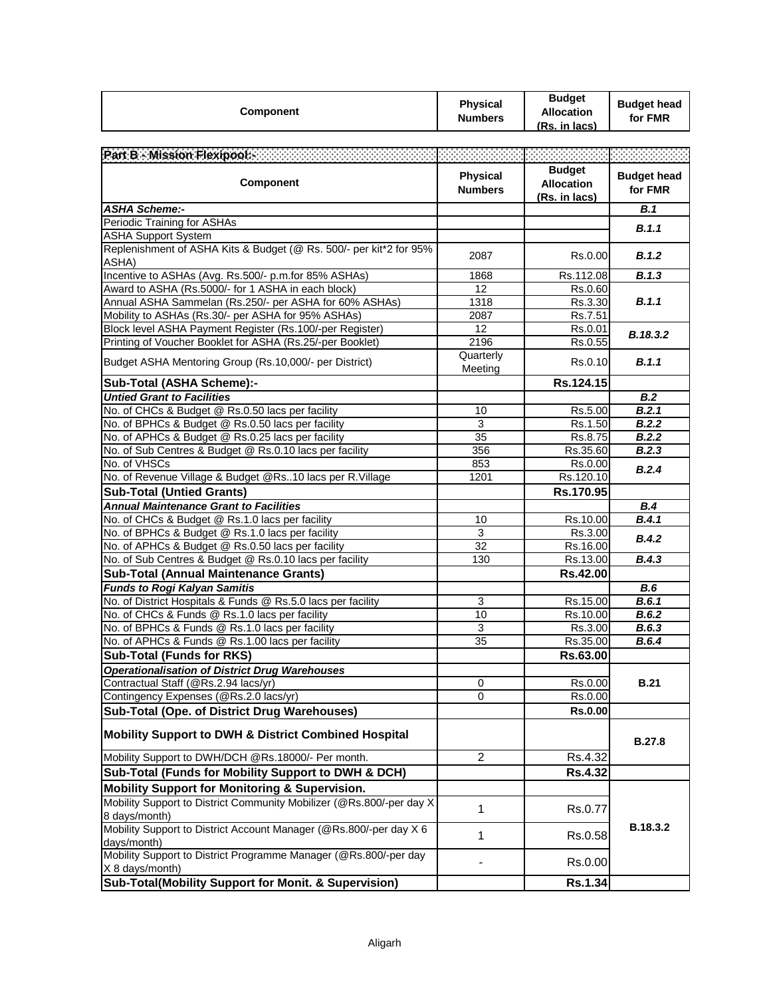| <b>Component</b>                                                                    | Physical<br><b>Numbers</b>        | <b>Budget</b><br><b>Allocation</b><br>(Rs. in lacs) | <b>Budget head</b><br>for FMR |
|-------------------------------------------------------------------------------------|-----------------------------------|-----------------------------------------------------|-------------------------------|
|                                                                                     |                                   |                                                     |                               |
| Part B - Mission Flexipool: 2002.2022                                               |                                   | <b>Budget</b>                                       |                               |
| Component                                                                           | <b>Physical</b><br><b>Numbers</b> | <b>Allocation</b><br>(Rs. in lacs)                  | <b>Budget head</b><br>for FMR |
| <b>ASHA Scheme:-</b>                                                                |                                   |                                                     | B.1                           |
| Periodic Training for ASHAs                                                         |                                   |                                                     | B.1.1                         |
| <b>ASHA Support System</b>                                                          |                                   |                                                     |                               |
| Replenishment of ASHA Kits & Budget (@ Rs. 500/- per kit*2 for 95%<br>ASHA)         | 2087                              | Rs.0.00                                             | B.1.2                         |
| Incentive to ASHAs (Avg. Rs.500/- p.m.for 85% ASHAs)                                | 1868                              | Rs.112.08                                           | B.1.3                         |
| Award to ASHA (Rs.5000/- for 1 ASHA in each block)                                  | 12                                | Rs.0.60                                             |                               |
| Annual ASHA Sammelan (Rs.250/- per ASHA for 60% ASHAs)                              | 1318                              | Rs.3.30                                             | B.1.1                         |
| Mobility to ASHAs (Rs.30/- per ASHA for 95% ASHAs)                                  | 2087                              | Rs.7.51                                             |                               |
| Block level ASHA Payment Register (Rs.100/-per Register)                            | 12                                | Rs.0.01                                             | B.18.3.2                      |
| Printing of Voucher Booklet for ASHA (Rs.25/-per Booklet)                           | 2196                              | Rs.0.55                                             |                               |
| Budget ASHA Mentoring Group (Rs.10,000/- per District)                              | Quarterly<br>Meeting              | Rs.0.10                                             | B.1.1                         |
| Sub-Total (ASHA Scheme):-                                                           |                                   | Rs.124.15                                           |                               |
| <b>Untied Grant to Facilities</b>                                                   |                                   |                                                     | B.2                           |
| No. of CHCs & Budget @ Rs.0.50 lacs per facility                                    | 10                                | Rs.5.00                                             | B.2.1                         |
| No. of BPHCs & Budget @ Rs.0.50 lacs per facility                                   | 3                                 | Rs.1.50                                             | B.2.2                         |
| No. of APHCs & Budget @ Rs.0.25 lacs per facility                                   | 35                                | Rs.8.75                                             | B.2.2                         |
| No. of Sub Centres & Budget @ Rs.0.10 lacs per facility                             | 356                               | Rs.35.60                                            | B.2.3                         |
| No. of VHSCs                                                                        | 853                               | Rs.0.00                                             | B.2.4                         |
| No. of Revenue Village & Budget @Rs10 lacs per R.Village                            | 1201                              | Rs.120.10                                           |                               |
| <b>Sub-Total (Untied Grants)</b>                                                    |                                   | Rs.170.95                                           |                               |
| <b>Annual Maintenance Grant to Facilities</b>                                       |                                   |                                                     | B.4                           |
| No. of CHCs & Budget @ Rs.1.0 lacs per facility                                     | 10                                | Rs.10.00                                            | B.4.1                         |
| No. of BPHCs & Budget @ Rs.1.0 lacs per facility                                    | 3                                 | Rs.3.00                                             | B.4.2                         |
| No. of APHCs & Budget @ Rs.0.50 lacs per facility                                   | 32                                | Rs.16.00                                            |                               |
| No. of Sub Centres & Budget @ Rs.0.10 lacs per facility                             | 130                               | Rs.13.00                                            | B.4.3                         |
| <b>Sub-Total (Annual Maintenance Grants)</b>                                        |                                   | Rs.42.00                                            |                               |
| <b>Funds to Rogi Kalyan Samitis</b>                                                 |                                   |                                                     | <b>B.6</b>                    |
| No. of District Hospitals & Funds @ Rs.5.0 lacs per facility                        | 3                                 | Rs.15.00                                            | B.6.1                         |
| No. of CHCs & Funds @ Rs.1.0 lacs per facility                                      | 10                                | Rs.10.00                                            | B.6.2                         |
| No. of BPHCs & Funds @ Rs.1.0 lacs per facility                                     | 3                                 | Rs.3.00                                             | B.6.3                         |
| No. of APHCs & Funds @ Rs.1.00 lacs per facility                                    | 35                                | Rs.35.00                                            | B.6.4                         |
| <b>Sub-Total (Funds for RKS)</b>                                                    |                                   | Rs.63.00                                            |                               |
| <b>Operationalisation of District Drug Warehouses</b>                               |                                   |                                                     |                               |
| Contractual Staff (@Rs.2.94 lacs/yr)                                                | 0                                 | Rs.0.00                                             | <b>B.21</b>                   |
| Contingency Expenses (@Rs.2.0 lacs/yr)                                              | 0                                 | Rs.0.00                                             |                               |
| Sub-Total (Ope. of District Drug Warehouses)                                        |                                   | <b>Rs.0.00</b>                                      |                               |
| Mobility Support to DWH & District Combined Hospital                                |                                   |                                                     | <b>B.27.8</b>                 |
| Mobility Support to DWH/DCH @Rs.18000/- Per month.                                  | 2                                 | Rs.4.32                                             |                               |
| Sub-Total (Funds for Mobility Support to DWH & DCH)                                 |                                   | Rs.4.32                                             |                               |
| <b>Mobility Support for Monitoring &amp; Supervision.</b>                           |                                   |                                                     |                               |
| Mobility Support to District Community Mobilizer (@Rs.800/-per day X)               | 1                                 | Rs.0.77                                             |                               |
| 8 days/month)<br>Mobility Support to District Account Manager (@Rs.800/-per day X 6 | 1                                 | Rs.0.58                                             | B.18.3.2                      |
| days/month)<br>Mobility Support to District Programme Manager (@Rs.800/-per day     |                                   | Rs.0.00                                             |                               |
| X 8 days/month)                                                                     |                                   |                                                     |                               |
| Sub-Total(Mobility Support for Monit. & Supervision)                                |                                   | Rs.1.34                                             |                               |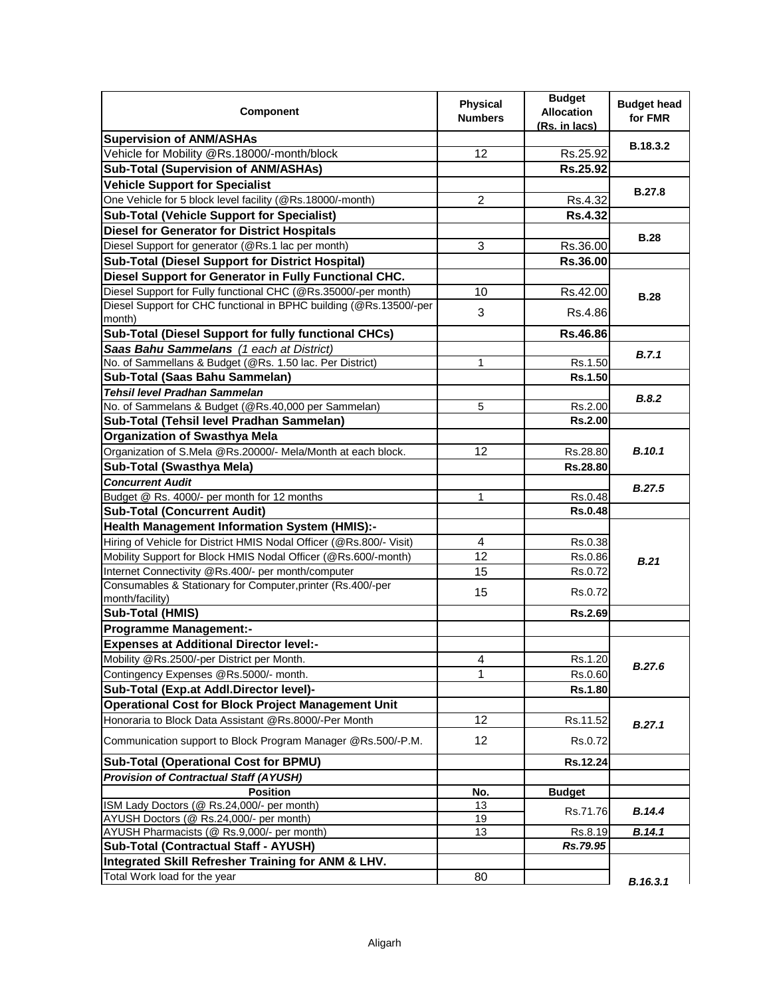| <b>Component</b>                                                                                                   | <b>Physical</b><br><b>Numbers</b> | <b>Budget</b><br><b>Allocation</b><br>(Rs. in lacs) | <b>Budget head</b><br>for FMR |
|--------------------------------------------------------------------------------------------------------------------|-----------------------------------|-----------------------------------------------------|-------------------------------|
| <b>Supervision of ANM/ASHAs</b>                                                                                    |                                   |                                                     | <b>B.18.3.2</b>               |
| Vehicle for Mobility @Rs.18000/-month/block                                                                        | 12                                | Rs.25.92                                            |                               |
| <b>Sub-Total (Supervision of ANM/ASHAs)</b>                                                                        |                                   | Rs.25.92                                            |                               |
| <b>Vehicle Support for Specialist</b>                                                                              |                                   |                                                     | <b>B.27.8</b>                 |
| One Vehicle for 5 block level facility (@Rs.18000/-month)                                                          | $\overline{c}$                    | Rs.4.32                                             |                               |
| <b>Sub-Total (Vehicle Support for Specialist)</b>                                                                  |                                   | <b>Rs.4.32</b>                                      |                               |
| <b>Diesel for Generator for District Hospitals</b>                                                                 |                                   |                                                     | <b>B.28</b>                   |
| Diesel Support for generator (@Rs.1 lac per month)                                                                 | 3                                 | Rs.36.00                                            |                               |
| <b>Sub-Total (Diesel Support for District Hospital)</b>                                                            |                                   | Rs.36.00                                            |                               |
| Diesel Support for Generator in Fully Functional CHC.                                                              |                                   |                                                     |                               |
| Diesel Support for Fully functional CHC (@Rs.35000/-per month)                                                     | 10                                | Rs.42.00                                            | <b>B.28</b>                   |
| Diesel Support for CHC functional in BPHC building (@Rs.13500/-per<br>month)                                       | 3                                 | Rs.4.86                                             |                               |
| Sub-Total (Diesel Support for fully functional CHCs)                                                               |                                   | Rs.46.86                                            |                               |
| Saas Bahu Sammelans (1 each at District)                                                                           |                                   |                                                     | B.7.1                         |
| No. of Sammellans & Budget (@Rs. 1.50 lac. Per District)                                                           | 1                                 | Rs.1.50                                             |                               |
| Sub-Total (Saas Bahu Sammelan)                                                                                     |                                   | Rs.1.50                                             |                               |
| <b>Tehsil level Pradhan Sammelan</b>                                                                               |                                   |                                                     | B.8.2                         |
| No. of Sammelans & Budget (@Rs.40,000 per Sammelan)                                                                | 5                                 | Rs.2.00                                             |                               |
| Sub-Total (Tehsil level Pradhan Sammelan)                                                                          |                                   | <b>Rs.2.00</b>                                      |                               |
| <b>Organization of Swasthya Mela</b>                                                                               |                                   |                                                     |                               |
| Organization of S.Mela @Rs.20000/- Mela/Month at each block.                                                       | 12                                | Rs.28.80                                            | <b>B.10.1</b>                 |
| Sub-Total (Swasthya Mela)                                                                                          |                                   | Rs.28.80                                            |                               |
| <b>Concurrent Audit</b>                                                                                            |                                   |                                                     | B.27.5                        |
| Budget @ Rs. 4000/- per month for 12 months                                                                        | $\mathbf{1}$                      | Rs.0.48                                             |                               |
| <b>Sub-Total (Concurrent Audit)</b>                                                                                |                                   | Rs.0.48                                             |                               |
| Health Management Information System (HMIS):-                                                                      |                                   |                                                     |                               |
| Hiring of Vehicle for District HMIS Nodal Officer (@Rs.800/- Visit)                                                | 4                                 | Rs.0.38                                             |                               |
| Mobility Support for Block HMIS Nodal Officer (@Rs.600/-month)                                                     | 12                                | Rs.0.86                                             | B.21                          |
| Internet Connectivity @Rs.400/- per month/computer                                                                 | 15                                | Rs.0.72                                             |                               |
| Consumables & Stationary for Computer, printer (Rs.400/-per                                                        | 15                                | Rs.0.72                                             |                               |
| month/facility)                                                                                                    |                                   | <b>Rs.2.69</b>                                      |                               |
| Sub-Total (HMIS)                                                                                                   |                                   |                                                     |                               |
| <b>Programme Management:-</b>                                                                                      |                                   |                                                     |                               |
| <b>Expenses at Additional Director level:-</b>                                                                     |                                   |                                                     |                               |
| Mobility @Rs.2500/-per District per Month.<br>Contingency Expenses @Rs.5000/- month.                               | 4<br>1                            | Rs.1.20<br>Rs.0.60                                  | B.27.6                        |
| Sub-Total (Exp.at Addl.Director level)-                                                                            |                                   | <b>Rs.1.80</b>                                      |                               |
|                                                                                                                    |                                   |                                                     |                               |
| <b>Operational Cost for Block Project Management Unit</b><br>Honoraria to Block Data Assistant @Rs.8000/-Per Month | 12 <sup>2</sup>                   |                                                     |                               |
|                                                                                                                    |                                   | Rs.11.52                                            | B.27.1                        |
| Communication support to Block Program Manager @Rs.500/-P.M.                                                       | $12 \overline{ }$                 | Rs.0.72                                             |                               |
| <b>Sub-Total (Operational Cost for BPMU)</b>                                                                       |                                   | Rs.12.24                                            |                               |
| <b>Provision of Contractual Staff (AYUSH)</b>                                                                      |                                   |                                                     |                               |
| <b>Position</b>                                                                                                    | No.                               | <b>Budget</b>                                       |                               |
| ISM Lady Doctors (@ Rs.24,000/- per month)<br>AYUSH Doctors (@ Rs.24,000/- per month)                              | 13<br>19                          | Rs.71.76                                            | B.14.4                        |
| AYUSH Pharmacists (@ Rs.9,000/- per month)                                                                         | 13                                | Rs.8.19                                             | B.14.1                        |
| Sub-Total (Contractual Staff - AYUSH)                                                                              |                                   | Rs.79.95                                            |                               |
| Integrated Skill Refresher Training for ANM & LHV.                                                                 |                                   |                                                     |                               |
| Total Work load for the year                                                                                       | 80                                |                                                     | B.16.3.1                      |
|                                                                                                                    |                                   |                                                     |                               |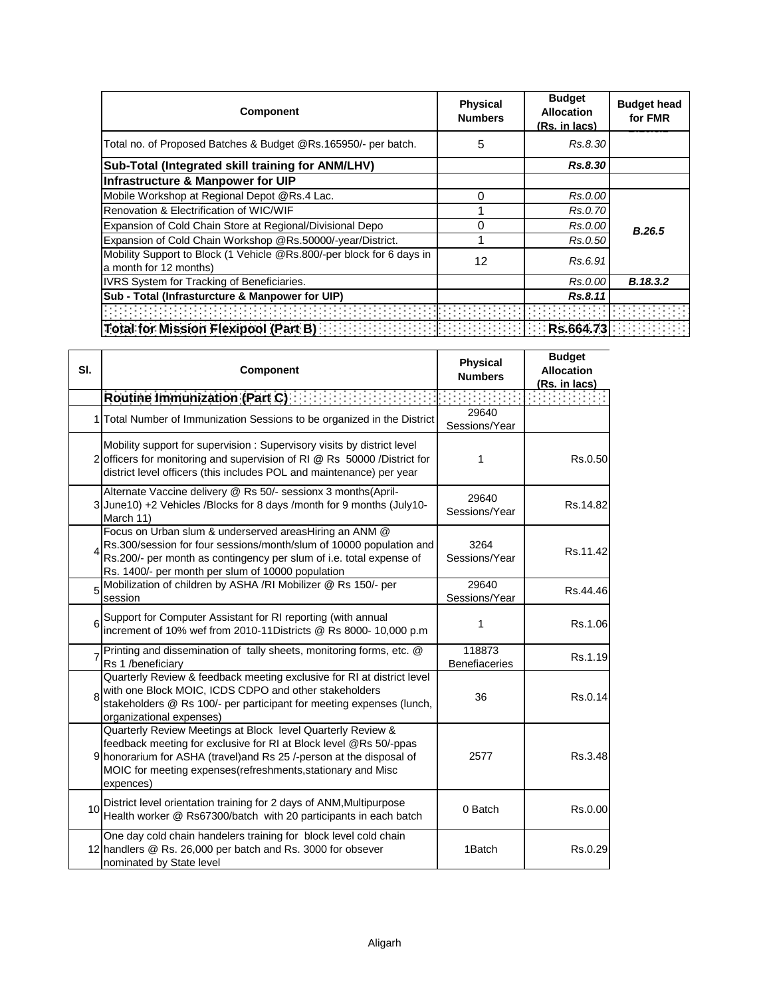| Component                                                                                       | <b>Physical</b><br><b>Numbers</b> | <b>Budget</b><br><b>Allocation</b><br>(Rs. in lacs) | <b>Budget head</b><br>for FMR |
|-------------------------------------------------------------------------------------------------|-----------------------------------|-----------------------------------------------------|-------------------------------|
| Total no. of Proposed Batches & Budget @Rs.165950/- per batch.                                  | 5                                 | Rs.8.30                                             |                               |
| Sub-Total (Integrated skill training for ANM/LHV)                                               |                                   | Rs.8.30                                             |                               |
| <b>Infrastructure &amp; Manpower for UIP</b>                                                    |                                   |                                                     |                               |
| Mobile Workshop at Regional Depot @Rs.4 Lac.                                                    | $\Omega$                          | Rs.0.00                                             |                               |
| Renovation & Electrification of WIC/WIF                                                         |                                   | Rs.0.70                                             |                               |
| Expansion of Cold Chain Store at Regional/Divisional Depo                                       | 0                                 | Rs.0.00                                             | B.26.5                        |
| Expansion of Cold Chain Workshop @Rs.50000/-year/District.                                      |                                   | Rs.0.50                                             |                               |
| Mobility Support to Block (1 Vehicle @Rs.800/-per block for 6 days in<br>a month for 12 months) | 12                                | Rs.6.91                                             |                               |
| IVRS System for Tracking of Beneficiaries.                                                      |                                   | Rs.0.00                                             | B.18.3.2                      |
| Sub - Total (Infrasturcture & Manpower for UIP)                                                 |                                   | Rs.8.11                                             |                               |
|                                                                                                 |                                   |                                                     |                               |
| Total for Mission Flexipool (Part B)                                                            |                                   | Rs.664.73                                           |                               |

| SI. | <b>Component</b>                                                                                                                                                                                                                                                                     | Physical<br><b>Numbers</b>     | <b>Budget</b><br><b>Allocation</b><br>(Rs. in lacs) |  |
|-----|--------------------------------------------------------------------------------------------------------------------------------------------------------------------------------------------------------------------------------------------------------------------------------------|--------------------------------|-----------------------------------------------------|--|
|     | Routine Immunization (Part C)                                                                                                                                                                                                                                                        |                                |                                                     |  |
|     | 1 Total Number of Immunization Sessions to be organized in the District                                                                                                                                                                                                              | 29640<br>Sessions/Year         |                                                     |  |
|     | Mobility support for supervision : Supervisory visits by district level<br>2 officers for monitoring and supervision of RI @ Rs 50000 / District for<br>district level officers (this includes POL and maintenance) per year                                                         | 1                              | Rs.0.50                                             |  |
|     | Alternate Vaccine delivery @ Rs 50/- sessionx 3 months(April-<br>3 June 10) +2 Vehicles /Blocks for 8 days /month for 9 months (July 10-<br>March 11)                                                                                                                                | 29640<br>Sessions/Year         | Rs.14.82                                            |  |
|     | Focus on Urban slum & underserved areasHiring an ANM @<br>Rs.300/session for four sessions/month/slum of 10000 population and<br>Rs.200/- per month as contingency per slum of i.e. total expense of<br>Rs. 1400/- per month per slum of 10000 population                            | 3264<br>Sessions/Year          | Rs.11.42                                            |  |
| ŗ   | Mobilization of children by ASHA /RI Mobilizer @ Rs 150/- per<br>session                                                                                                                                                                                                             | 29640<br>Sessions/Year         | Rs.44.46                                            |  |
| 6   | Support for Computer Assistant for RI reporting (with annual<br>increment of 10% wef from 2010-11Districts @ Rs 8000- 10,000 p.m                                                                                                                                                     | 1                              | Rs.1.06                                             |  |
|     | Printing and dissemination of tally sheets, monitoring forms, etc. @<br>Rs 1 /beneficiarv                                                                                                                                                                                            | 118873<br><b>Benefiaceries</b> | Rs.1.19                                             |  |
| ۶   | Quarterly Review & feedback meeting exclusive for RI at district level<br>with one Block MOIC, ICDS CDPO and other stakeholders<br>stakeholders @ Rs 100/- per participant for meeting expenses (lunch,<br>organizational expenses)                                                  | 36                             | Rs.0.14                                             |  |
|     | Quarterly Review Meetings at Block level Quarterly Review &<br>feedback meeting for exclusive for RI at Block level @Rs 50/-ppas<br>9 honorarium for ASHA (travel) and Rs 25 /-person at the disposal of<br>MOIC for meeting expenses(refreshments, stationary and Misc<br>expences) | 2577                           | Rs.3.48                                             |  |
| 10  | District level orientation training for 2 days of ANM, Multipurpose<br>Health worker @ Rs67300/batch with 20 participants in each batch                                                                                                                                              | 0 Batch                        | Rs.0.00                                             |  |
|     | One day cold chain handelers training for block level cold chain<br>12 handlers @ Rs. 26,000 per batch and Rs. 3000 for obsever<br>nominated by State level                                                                                                                          | 1Batch                         | Rs.0.29                                             |  |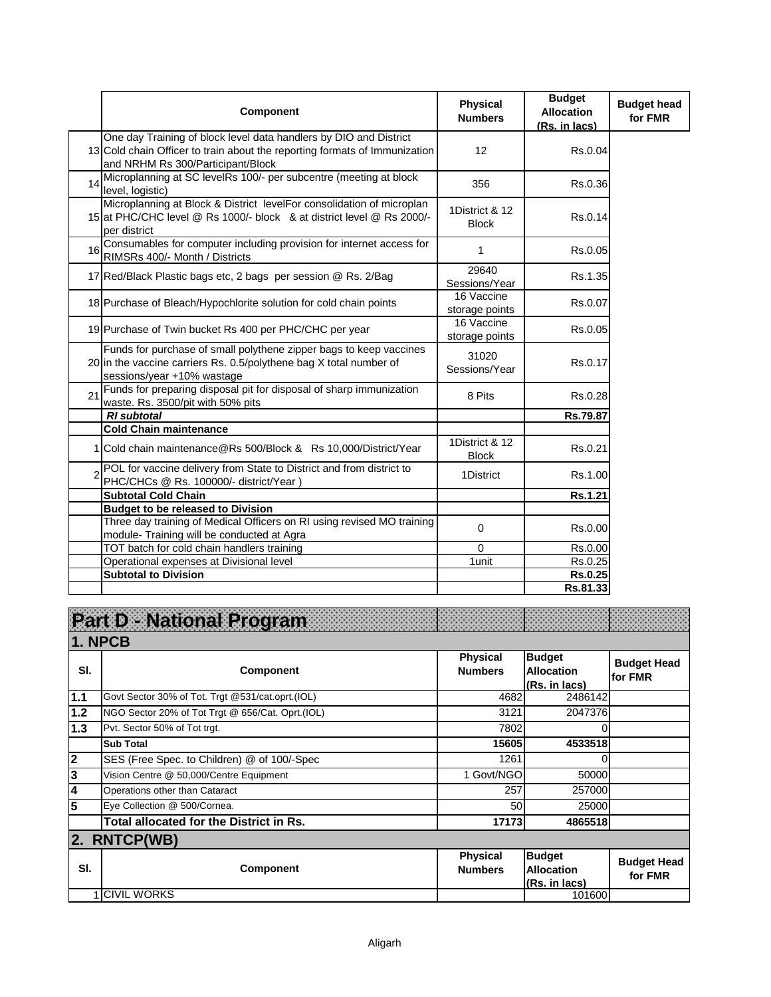|    | <b>Component</b>                                                                                                                                                                     | <b>Physical</b><br><b>Numbers</b> | <b>Budget</b><br><b>Allocation</b><br>(Rs. in lacs) | <b>Budget head</b><br>for FMR |
|----|--------------------------------------------------------------------------------------------------------------------------------------------------------------------------------------|-----------------------------------|-----------------------------------------------------|-------------------------------|
|    | One day Training of block level data handlers by DIO and District<br>13 Cold chain Officer to train about the reporting formats of Immunization<br>and NRHM Rs 300/Participant/Block | $12 \overline{ }$                 | Rs.0.04                                             |                               |
| 14 | Microplanning at SC levelRs 100/- per subcentre (meeting at block<br>level, logistic)                                                                                                | 356                               | Rs.0.36                                             |                               |
|    | Microplanning at Block & District levelFor consolidation of microplan<br>15 at PHC/CHC level @ Rs 1000/- block & at district level @ Rs 2000/-<br>per district                       | 1District & 12<br><b>Block</b>    | Rs.0.14                                             |                               |
| 16 | Consumables for computer including provision for internet access for<br>RIMSRs 400/- Month / Districts                                                                               | 1                                 | Rs.0.05                                             |                               |
|    | 17 Red/Black Plastic bags etc, 2 bags per session @ Rs. 2/Bag                                                                                                                        | 29640<br>Sessions/Year            | Rs.1.35                                             |                               |
|    | 18 Purchase of Bleach/Hypochlorite solution for cold chain points                                                                                                                    | 16 Vaccine<br>storage points      | Rs.0.07                                             |                               |
|    | 19 Purchase of Twin bucket Rs 400 per PHC/CHC per year                                                                                                                               | 16 Vaccine<br>storage points      | Rs.0.05                                             |                               |
|    | Funds for purchase of small polythene zipper bags to keep vaccines<br>20 in the vaccine carriers Rs. 0.5/polythene bag X total number of<br>sessions/year +10% wastage               | 31020<br>Sessions/Year            | Rs.0.17                                             |                               |
| 21 | Funds for preparing disposal pit for disposal of sharp immunization<br>waste. Rs. 3500/pit with 50% pits                                                                             | 8 Pits                            | Rs.0.28                                             |                               |
|    | <b>RI</b> subtotal                                                                                                                                                                   |                                   | Rs.79.87                                            |                               |
|    | <b>Cold Chain maintenance</b>                                                                                                                                                        |                                   |                                                     |                               |
|    | 1 Cold chain maintenance@Rs 500/Block & Rs 10,000/District/Year                                                                                                                      | 1District & 12<br><b>Block</b>    | Rs.0.21                                             |                               |
|    | POL for vaccine delivery from State to District and from district to<br>PHC/CHCs @ Rs. 100000/- district/Year)                                                                       | 1District                         | Rs.1.00                                             |                               |
|    | <b>Subtotal Cold Chain</b>                                                                                                                                                           |                                   | Rs.1.21                                             |                               |
|    | <b>Budget to be released to Division</b>                                                                                                                                             |                                   |                                                     |                               |
|    | Three day training of Medical Officers on RI using revised MO training                                                                                                               | 0                                 | Rs.0.00                                             |                               |
|    | module- Training will be conducted at Agra                                                                                                                                           |                                   |                                                     |                               |
|    | TOT batch for cold chain handlers training                                                                                                                                           | $\Omega$                          | Rs.0.00                                             |                               |
|    | Operational expenses at Divisional level                                                                                                                                             | 1unit                             | Rs.0.25                                             |                               |
|    | <b>Subtotal to Division</b>                                                                                                                                                          |                                   | Rs.0.25                                             |                               |
|    |                                                                                                                                                                                      |                                   | Rs.81.33                                            |                               |

## **Part D - National Program**

**Sl. Component Physical Numbers Budget Allocation (Rs. in lacs) Budget Head for FMR 1.1** Govt Sector 30% of Tot. Trgt @531/cat.oprt.(IOL) 4682 **1.2** NGO Sector 20% of Tot Trgt @ 656/Cat. Oprt.(IOL) 3121 3121 2047376 **1.3** Pvt. Sector 50% of Tot trgt. **1.3** Pvt. Sector 50% of Tot trgt. **7802** 0 **Sub Total 15605 4533518 2** [SES \(Free Spec. to Children\) @ of 100/-Spec](mailto:SES@ of 53.57/-Spec Max upto 125.00) 1261 1261 0 **3** Vision Centre @ 50,000/Centre Equipment 1 Govt/NGO 50000 **4** Operations other than Cataract 257 257000 **5** Eye Collection @ 500/Cornea. 60 **25000** 25000 **Total allocated for the District in Rs. 17173 1865518 Sl. Component Physical Numbers Budget Allocation (Rs. in lacs) Budget Head for FMR**  1 CIVIL WORKS **1. NPCB 2. RNTCP(WB)**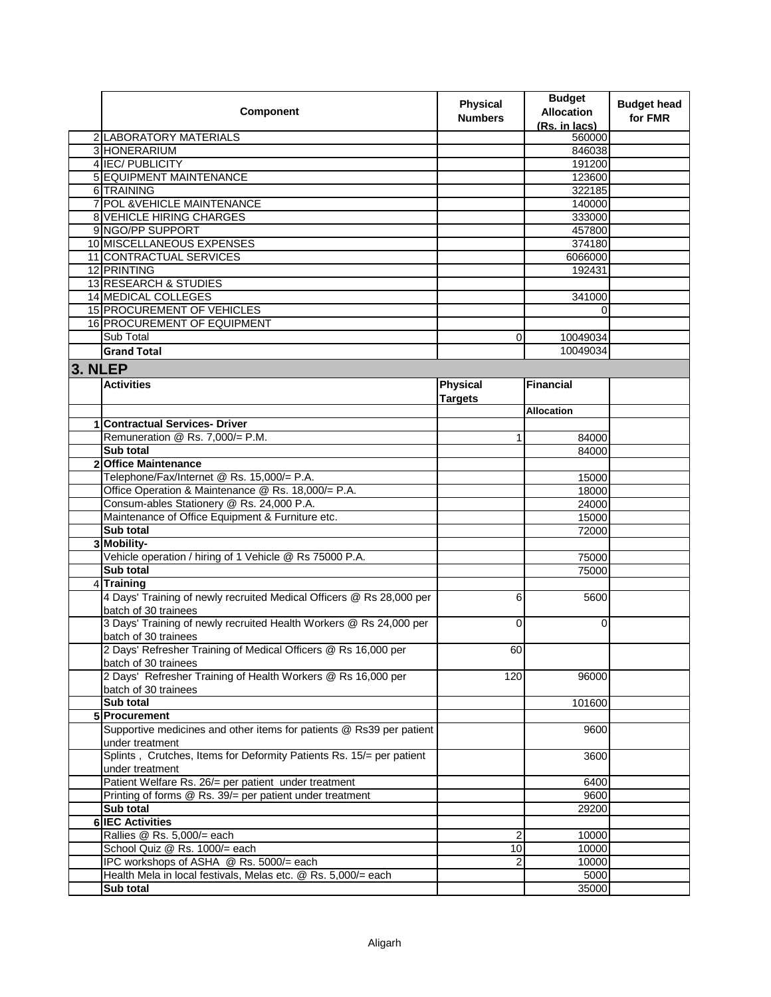|         | Component                                                            | <b>Physical</b><br><b>Numbers</b> | <b>Budget</b><br><b>Allocation</b><br>(Rs. in lacs) | <b>Budget head</b><br>for FMR |
|---------|----------------------------------------------------------------------|-----------------------------------|-----------------------------------------------------|-------------------------------|
|         | 2 LABORATORY MATERIALS                                               |                                   | 560000                                              |                               |
|         | 3 HONERARIUM                                                         |                                   | 846038                                              |                               |
|         | 4 IEC/ PUBLICITY                                                     |                                   | 191200                                              |                               |
|         | 5 EQUIPMENT MAINTENANCE                                              |                                   | 123600                                              |                               |
|         | 6 TRAINING                                                           |                                   | 322185                                              |                               |
|         | 7 POL & VEHICLE MAINTENANCE                                          |                                   | 140000                                              |                               |
|         | <b>8 VEHICLE HIRING CHARGES</b>                                      |                                   | 333000                                              |                               |
|         | 9 NGO/PP SUPPORT                                                     |                                   | 457800                                              |                               |
|         | 10 MISCELLANEOUS EXPENSES                                            |                                   | 374180                                              |                               |
|         | 11 CONTRACTUAL SERVICES                                              |                                   | 6066000                                             |                               |
|         | 12 PRINTING                                                          |                                   | 192431                                              |                               |
|         | 13 RESEARCH & STUDIES                                                |                                   |                                                     |                               |
|         | <b>14 MEDICAL COLLEGES</b>                                           |                                   | 341000                                              |                               |
|         | <b>15 PROCUREMENT OF VEHICLES</b>                                    |                                   | 0                                                   |                               |
|         | <b>16 PROCUREMENT OF EQUIPMENT</b>                                   |                                   |                                                     |                               |
|         | Sub Total                                                            | $\mathbf 0$                       | 10049034                                            |                               |
|         | <b>Grand Total</b>                                                   |                                   | 10049034                                            |                               |
|         |                                                                      |                                   |                                                     |                               |
| 3. NLEP |                                                                      |                                   |                                                     |                               |
|         | <b>Activities</b>                                                    | Physical                          | <b>Financial</b>                                    |                               |
|         |                                                                      | <b>Targets</b>                    |                                                     |                               |
|         |                                                                      |                                   | Allocation                                          |                               |
|         | <b>Contractual Services- Driver</b>                                  |                                   |                                                     |                               |
|         | Remuneration @ Rs. 7,000/= P.M.                                      | 1                                 | 84000                                               |                               |
|         | Sub total                                                            |                                   | 84000                                               |                               |
|         | 2 Office Maintenance                                                 |                                   |                                                     |                               |
|         | Telephone/Fax/Internet @ Rs. 15,000/= P.A.                           |                                   | 15000                                               |                               |
|         | Office Operation & Maintenance @ Rs. 18,000/= P.A.                   |                                   | 18000                                               |                               |
|         | Consum-ables Stationery @ Rs. 24,000 P.A.                            |                                   | 24000                                               |                               |
|         | Maintenance of Office Equipment & Furniture etc.                     |                                   | 15000                                               |                               |
|         | Sub total                                                            |                                   | 72000                                               |                               |
|         | 3 Mobility-                                                          |                                   |                                                     |                               |
|         | Vehicle operation / hiring of 1 Vehicle @ Rs 75000 P.A.              |                                   | 75000                                               |                               |
|         | Sub total                                                            |                                   | 75000                                               |                               |
|         | 4 Training                                                           |                                   |                                                     |                               |
|         | 4 Days' Training of newly recruited Medical Officers @ Rs 28,000 per | 6                                 | 5600                                                |                               |
|         | batch of 30 trainees                                                 |                                   |                                                     |                               |
|         | 3 Days' Training of newly recruited Health Workers @ Rs 24,000 per   | $\Omega$                          | $\Omega$                                            |                               |
|         | batch of 30 trainees                                                 |                                   |                                                     |                               |
|         | 2 Days' Refresher Training of Medical Officers @ Rs 16,000 per       | 60                                |                                                     |                               |
|         | batch of 30 trainees                                                 |                                   |                                                     |                               |
|         | 2 Days' Refresher Training of Health Workers @ Rs 16,000 per         | 120                               | 96000                                               |                               |
|         | batch of 30 trainees                                                 |                                   |                                                     |                               |
|         | Sub total                                                            |                                   | 101600                                              |                               |
|         | 5 Procurement                                                        |                                   |                                                     |                               |
|         | Supportive medicines and other items for patients @ Rs39 per patient |                                   | 9600                                                |                               |
|         | under treatment                                                      |                                   |                                                     |                               |
|         | Splints, Crutches, Items for Deformity Patients Rs. 15/= per patient |                                   | 3600                                                |                               |
|         | under treatment                                                      |                                   |                                                     |                               |
|         | Patient Welfare Rs. 26/= per patient under treatment                 |                                   | 6400                                                |                               |
|         | Printing of forms @ Rs. 39/= per patient under treatment             |                                   | 9600                                                |                               |
|         | Sub total                                                            |                                   | 29200                                               |                               |
|         | <b>6 IEC Activities</b>                                              |                                   |                                                     |                               |
|         | Rallies @ Rs. 5,000/= each                                           | 2                                 | 10000                                               |                               |
|         | School Quiz @ Rs. 1000/= each                                        | 10                                | 10000                                               |                               |
|         | IPC workshops of ASHA @ Rs. 5000/= each                              | 2                                 | 10000                                               |                               |
|         | Health Mela in local festivals, Melas etc. @ Rs. 5,000/= each        |                                   | 5000                                                |                               |
|         | Sub total                                                            |                                   | 35000                                               |                               |
|         |                                                                      |                                   |                                                     |                               |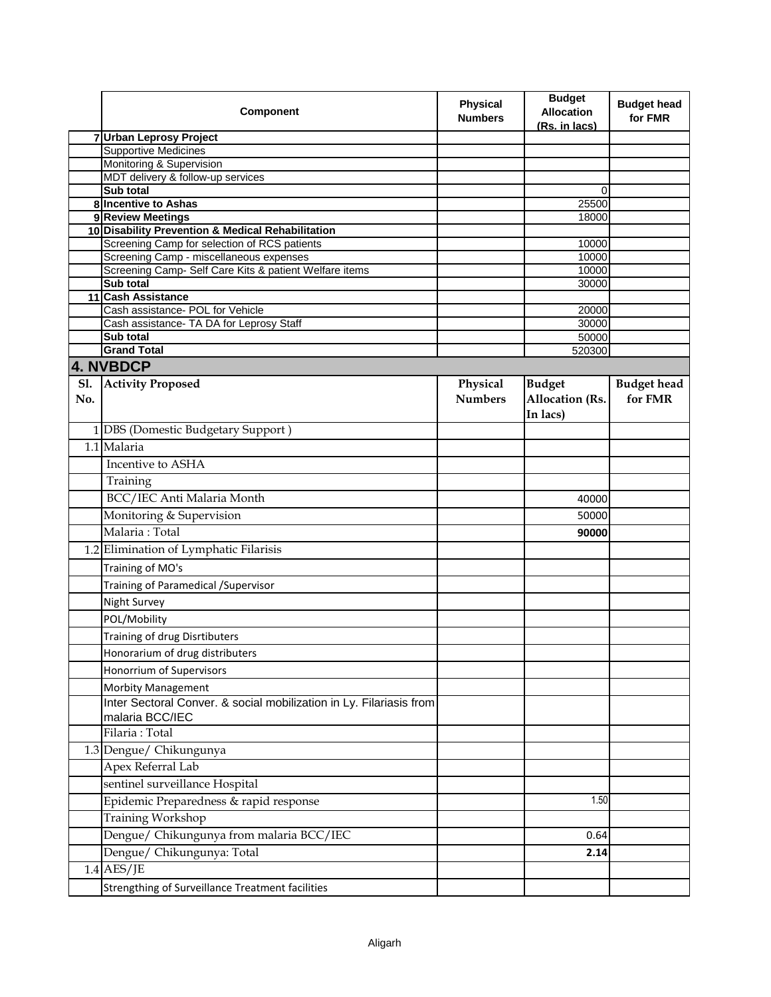|            | Component                                                                    | <b>Physical</b><br><b>Numbers</b> | <b>Budget</b><br><b>Allocation</b><br>(Rs. in lacs) | <b>Budget head</b><br>for FMR |
|------------|------------------------------------------------------------------------------|-----------------------------------|-----------------------------------------------------|-------------------------------|
|            | 7 Urban Leprosy Project                                                      |                                   |                                                     |                               |
|            | <b>Supportive Medicines</b>                                                  |                                   |                                                     |                               |
|            | Monitoring & Supervision                                                     |                                   |                                                     |                               |
|            | MDT delivery & follow-up services                                            |                                   |                                                     |                               |
|            | Sub total<br>8 Incentive to Ashas                                            |                                   | 0<br>25500                                          |                               |
|            | 9 Review Meetings                                                            |                                   | 18000                                               |                               |
|            | 10 Disability Prevention & Medical Rehabilitation                            |                                   |                                                     |                               |
|            | Screening Camp for selection of RCS patients                                 |                                   | 10000                                               |                               |
|            | Screening Camp - miscellaneous expenses                                      |                                   | 10000                                               |                               |
|            | Screening Camp- Self Care Kits & patient Welfare items                       |                                   | 10000                                               |                               |
|            | <b>Sub total</b>                                                             |                                   | 30000                                               |                               |
|            | 11 Cash Assistance                                                           |                                   |                                                     |                               |
|            | Cash assistance- POL for Vehicle<br>Cash assistance- TA DA for Leprosy Staff |                                   | 20000                                               |                               |
|            | Sub total                                                                    |                                   | 30000<br>50000                                      |                               |
|            | <b>Grand Total</b>                                                           |                                   | 520300                                              |                               |
|            | 4. NVBDCP                                                                    |                                   |                                                     |                               |
| <b>S1.</b> | <b>Activity Proposed</b>                                                     | Physical                          | <b>Budget</b>                                       | <b>Budget head</b>            |
| No.        |                                                                              | <b>Numbers</b>                    | Allocation (Rs.                                     | for FMR                       |
|            |                                                                              |                                   | In lacs)                                            |                               |
|            | 1 DBS (Domestic Budgetary Support)                                           |                                   |                                                     |                               |
|            | 1.1 Malaria                                                                  |                                   |                                                     |                               |
|            |                                                                              |                                   |                                                     |                               |
|            | Incentive to ASHA                                                            |                                   |                                                     |                               |
|            | Training                                                                     |                                   |                                                     |                               |
|            | BCC/IEC Anti Malaria Month                                                   |                                   | 40000                                               |                               |
|            | Monitoring & Supervision                                                     |                                   | 50000                                               |                               |
|            | Malaria: Total                                                               |                                   | 90000                                               |                               |
|            | 1.2 Elimination of Lymphatic Filarisis                                       |                                   |                                                     |                               |
|            | Training of MO's                                                             |                                   |                                                     |                               |
|            | Training of Paramedical / Supervisor                                         |                                   |                                                     |                               |
|            |                                                                              |                                   |                                                     |                               |
|            | Night Survey                                                                 |                                   |                                                     |                               |
|            | POL/Mobility                                                                 |                                   |                                                     |                               |
|            | Training of drug Disrtibuters                                                |                                   |                                                     |                               |
|            | Honorarium of drug distributers                                              |                                   |                                                     |                               |
|            | Honorrium of Supervisors                                                     |                                   |                                                     |                               |
|            | <b>Morbity Management</b>                                                    |                                   |                                                     |                               |
|            | Inter Sectoral Conver. & social mobilization in Ly. Filariasis from          |                                   |                                                     |                               |
|            | malaria BCC/IEC                                                              |                                   |                                                     |                               |
|            | Filaria: Total                                                               |                                   |                                                     |                               |
|            | 1.3 Dengue/ Chikungunya                                                      |                                   |                                                     |                               |
|            | Apex Referral Lab                                                            |                                   |                                                     |                               |
|            | sentinel surveillance Hospital                                               |                                   |                                                     |                               |
|            |                                                                              |                                   |                                                     |                               |
|            | Epidemic Preparedness & rapid response                                       |                                   | 1.50                                                |                               |
|            | <b>Training Workshop</b>                                                     |                                   |                                                     |                               |
|            | Dengue/ Chikungunya from malaria BCC/IEC                                     |                                   | 0.64                                                |                               |
|            | Dengue/ Chikungunya: Total                                                   |                                   | 2.14                                                |                               |
|            | $1.4$ AES/JE                                                                 |                                   |                                                     |                               |
|            | Strengthing of Surveillance Treatment facilities                             |                                   |                                                     |                               |